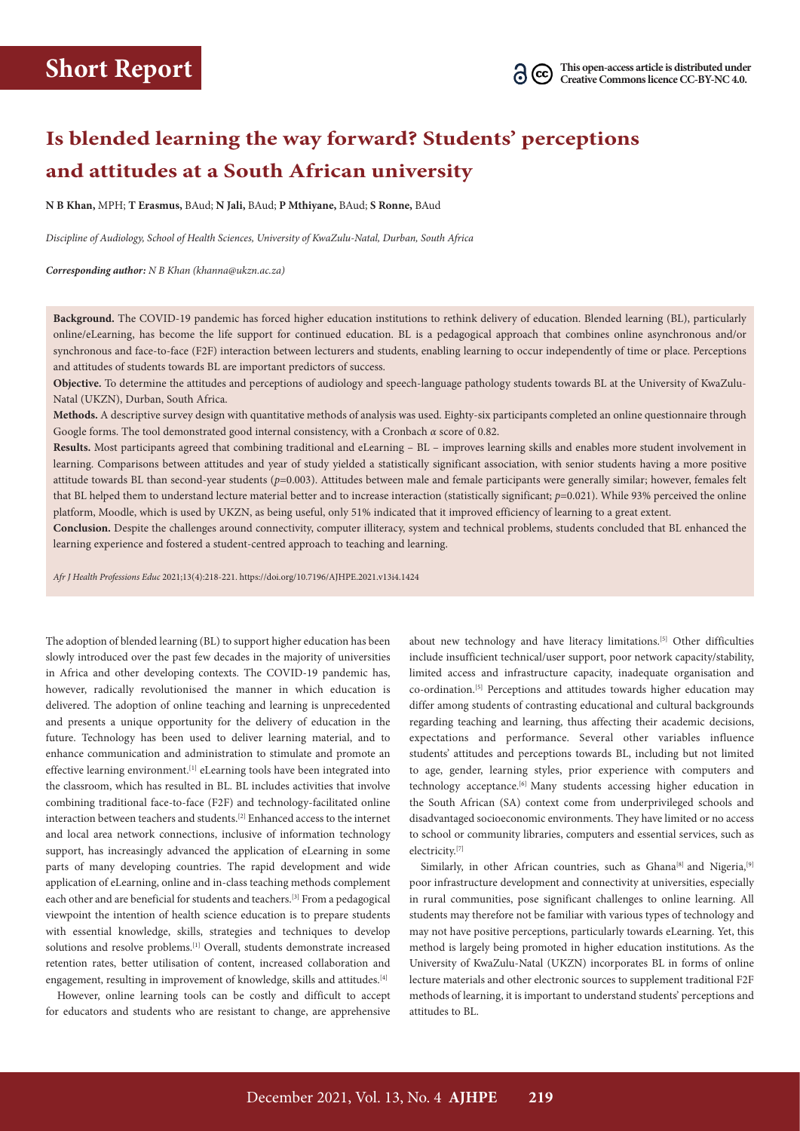# **Is blended learning the way forward? Students' perceptions and attitudes at a South African university**

**N B Khan,** MPH; **T Erasmus,** BAud; **N Jali,** BAud; **P Mthiyane,** BAud; **S Ronne,** BAud

*Discipline of Audiology, School of Health Sciences, University of KwaZulu-Natal, Durban, South Africa*

*Corresponding author: N B Khan [\(khanna@ukzn.ac.za](mailto:khanna@ukzn.ac.za))*

**Background.** The COVID-19 pandemic has forced higher education institutions to rethink delivery of education. Blended learning (BL), particularly online/eLearning, has become the life support for continued education. BL is a pedagogical approach that combines online asynchronous and/or synchronous and face-to-face (F2F) interaction between lecturers and students, enabling learning to occur independently of time or place. Perceptions and attitudes of students towards BL are important predictors of success.

**Objective.** To determine the attitudes and perceptions of audiology and speech-language pathology students towards BL at the University of KwaZulu-Natal (UKZN), Durban, South Africa.

**Methods.** A descriptive survey design with quantitative methods of analysis was used. Eighty-six participants completed an online questionnaire through Google forms. The tool demonstrated good internal consistency, with a Cronbach *α* score of 0.82.

**Results.** Most participants agreed that combining traditional and eLearning – BL – improves learning skills and enables more student involvement in learning. Comparisons between attitudes and year of study yielded a statistically significant association, with senior students having a more positive attitude towards BL than second-year students (*p*=0.003). Attitudes between male and female participants were generally similar; however, females felt that BL helped them to understand lecture material better and to increase interaction (statistically significant; *p*=0.021). While 93% perceived the online platform, Moodle, which is used by UKZN, as being useful, only 51% indicated that it improved efficiency of learning to a great extent.

**Conclusion.** Despite the challenges around connectivity, computer illiteracy, system and technical problems, students concluded that BL enhanced the learning experience and fostered a student-centred approach to teaching and learning.

*Afr J Health Professions Educ* 2021;13(4):218-221.<https://doi.org/10.7196/AJHPE.2021.v13i4.1424>

The adoption of blended learning (BL) to support higher education has been slowly introduced over the past few decades in the majority of universities in Africa and other developing contexts. The COVID-19 pandemic has, however, radically revolutionised the manner in which education is delivered. The adoption of online teaching and learning is unprecedented and presents a unique opportunity for the delivery of education in the future. Technology has been used to deliver learning material, and to enhance communication and administration to stimulate and promote an effective learning environment.<sup>[1]</sup> eLearning tools have been integrated into the classroom, which has resulted in BL. BL includes activities that involve combining traditional face-to-face (F2F) and technology-facilitated online interaction between teachers and students.[2] Enhanced access to the internet and local area network connections, inclusive of information technology support, has increasingly advanced the application of eLearning in some parts of many developing countries. The rapid development and wide application of eLearning, online and in-class teaching methods complement each other and are beneficial for students and teachers.[3] From a pedagogical viewpoint the intention of health science education is to prepare students with essential knowledge, skills, strategies and techniques to develop solutions and resolve problems.<sup>[1]</sup> Overall, students demonstrate increased retention rates, better utilisation of content, increased collaboration and engagement, resulting in improvement of knowledge, skills and attitudes.[4]

However, online learning tools can be costly and difficult to accept for educators and students who are resistant to change, are apprehensive

about new technology and have literacy limitations.<sup>[5]</sup> Other difficulties include insufficient technical/user support, poor network capacity/stability, limited access and infrastructure capacity, inadequate organisation and co-ordination.<sup>[5]</sup> Perceptions and attitudes towards higher education may differ among students of contrasting educational and cultural backgrounds regarding teaching and learning, thus affecting their academic decisions, expectations and performance. Several other variables influence students' attitudes and perceptions towards BL, including but not limited to age, gender, learning styles, prior experience with computers and technology acceptance.<sup>[6]</sup> Many students accessing higher education in the South African (SA) context come from underprivileged schools and disadvantaged socioeconomic environments. They have limited or no access to school or community libraries, computers and essential services, such as electricity.[7]

Similarly, in other African countries, such as Ghana<sup>[8]</sup> and Nigeria,<sup>[9]</sup> poor infrastructure development and connectivity at universities, especially in rural communities, pose significant challenges to online learning. All students may therefore not be familiar with various types of technology and may not have positive perceptions, particularly towards eLearning. Yet, this method is largely being promoted in higher education institutions. As the University of KwaZulu-Natal (UKZN) incorporates BL in forms of online lecture materials and other electronic sources to supplement traditional F2F methods of learning, it is important to understand students' perceptions and attitudes to BL.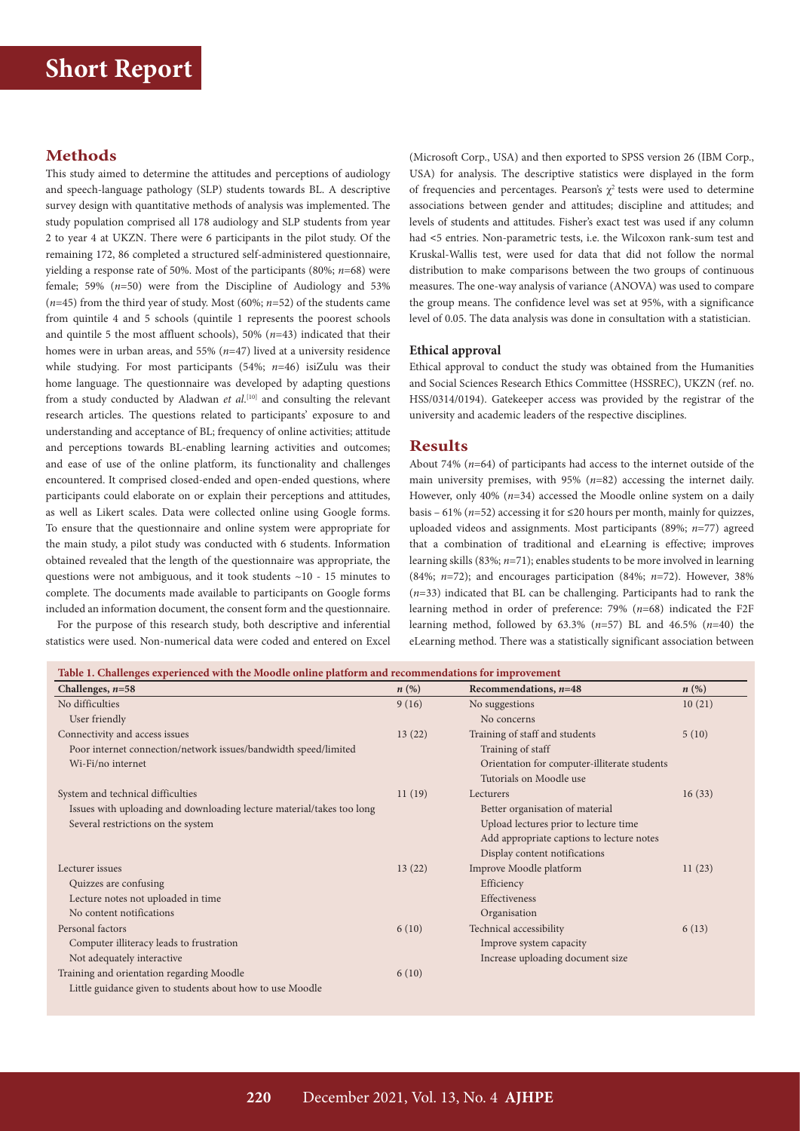# **Short Report**

# **Methods**

This study aimed to determine the attitudes and perceptions of audiology and speech-language pathology (SLP) students towards BL. A descriptive survey design with quantitative methods of analysis was implemented. The study population comprised all 178 audiology and SLP students from year 2 to year 4 at UKZN. There were 6 participants in the pilot study. Of the remaining 172, 86 completed a structured self-administered questionnaire, yielding a response rate of 50%. Most of the participants (80%; *n*=68) were female; 59% (*n*=50) were from the Discipline of Audiology and 53% (*n*=45) from the third year of study. Most (60%; *n*=52) of the students came from quintile 4 and 5 schools (quintile 1 represents the poorest schools and quintile 5 the most affluent schools), 50% (*n*=43) indicated that their homes were in urban areas, and 55% (*n*=47) lived at a university residence while studying. For most participants (54%; *n*=46) isiZulu was their home language. The questionnaire was developed by adapting questions from a study conducted by Aladwan *et al*.<sup>[10]</sup> and consulting the relevant research articles. The questions related to participants' exposure to and understanding and acceptance of BL; frequency of online activities; attitude and perceptions towards BL-enabling learning activities and outcomes; and ease of use of the online platform, its functionality and challenges encountered. It comprised closed-ended and open-ended questions, where participants could elaborate on or explain their perceptions and attitudes, as well as Likert scales. Data were collected online using Google forms. To ensure that the questionnaire and online system were appropriate for the main study, a pilot study was conducted with 6 students. Information obtained revealed that the length of the questionnaire was appropriate, the questions were not ambiguous, and it took students ~10 - 15 minutes to complete. The documents made available to participants on Google forms included an information document, the consent form and the questionnaire.

For the purpose of this research study, both descriptive and inferential statistics were used. Non-numerical data were coded and entered on Excel

(Microsoft Corp., USA) and then exported to SPSS version 26 (IBM Corp., USA) for analysis. The descriptive statistics were displayed in the form of frequencies and percentages. Pearson's  $\chi^2$  tests were used to determine associations between gender and attitudes; discipline and attitudes; and levels of students and attitudes. Fisher's exact test was used if any column had <5 entries. Non-parametric tests, i.e. the Wilcoxon rank-sum test and Kruskal-Wallis test, were used for data that did not follow the normal distribution to make comparisons between the two groups of continuous measures. The one-way analysis of variance (ANOVA) was used to compare the group means. The confidence level was set at 95%, with a significance level of 0.05. The data analysis was done in consultation with a statistician.

#### **Ethical approval**

Ethical approval to conduct the study was obtained from the Humanities and Social Sciences Research Ethics Committee (HSSREC), UKZN (ref. no. HSS/0314/0194). Gatekeeper access was provided by the registrar of the university and academic leaders of the respective disciplines.

### **Results**

About 74% (*n*=64) of participants had access to the internet outside of the main university premises, with 95% (*n*=82) accessing the internet daily. However, only 40% (*n*=34) accessed the Moodle online system on a daily basis – 61% (*n*=52) accessing it for ≤20 hours per month, mainly for quizzes, uploaded videos and assignments. Most participants (89%; *n*=77) agreed that a combination of traditional and eLearning is effective; improves learning skills (83%; *n*=71); enables students to be more involved in learning (84%; *n*=72); and encourages participation (84%; *n*=72). However, 38% (*n*=33) indicated that BL can be challenging. Participants had to rank the learning method in order of preference: 79% (*n*=68) indicated the F2F learning method, followed by 63.3% (*n*=57) BL and 46.5% (*n*=40) the eLearning method. There was a statistically significant association between

| Challenges, $n=58$                                                    | n(%)   | Recommendations, $n=48$                      | $n\left(\%\right)$ |
|-----------------------------------------------------------------------|--------|----------------------------------------------|--------------------|
| No difficulties                                                       | 9(16)  | No suggestions                               | 10(21)             |
| User friendly                                                         |        | No concerns                                  |                    |
| Connectivity and access issues                                        | 13(22) | Training of staff and students               | 5(10)              |
| Poor internet connection/network issues/bandwidth speed/limited       |        | Training of staff                            |                    |
| Wi-Fi/no internet                                                     |        | Orientation for computer-illiterate students |                    |
|                                                                       |        | Tutorials on Moodle use                      |                    |
| System and technical difficulties                                     | 11(19) | Lecturers                                    | 16(33)             |
| Issues with uploading and downloading lecture material/takes too long |        | Better organisation of material              |                    |
| Several restrictions on the system                                    |        | Upload lectures prior to lecture time        |                    |
|                                                                       |        | Add appropriate captions to lecture notes    |                    |
|                                                                       |        | Display content notifications                |                    |
| Lecturer issues                                                       | 13(22) | Improve Moodle platform                      | 11(23)             |
| Quizzes are confusing                                                 |        | Efficiency                                   |                    |
| Lecture notes not uploaded in time                                    |        | Effectiveness                                |                    |
| No content notifications                                              |        | Organisation                                 |                    |
| Personal factors                                                      | 6(10)  | Technical accessibility                      | 6(13)              |
| Computer illiteracy leads to frustration                              |        | Improve system capacity                      |                    |
| Not adequately interactive                                            |        | Increase uploading document size             |                    |
| Training and orientation regarding Moodle                             | 6(10)  |                                              |                    |
| Little guidance given to students about how to use Moodle             |        |                                              |                    |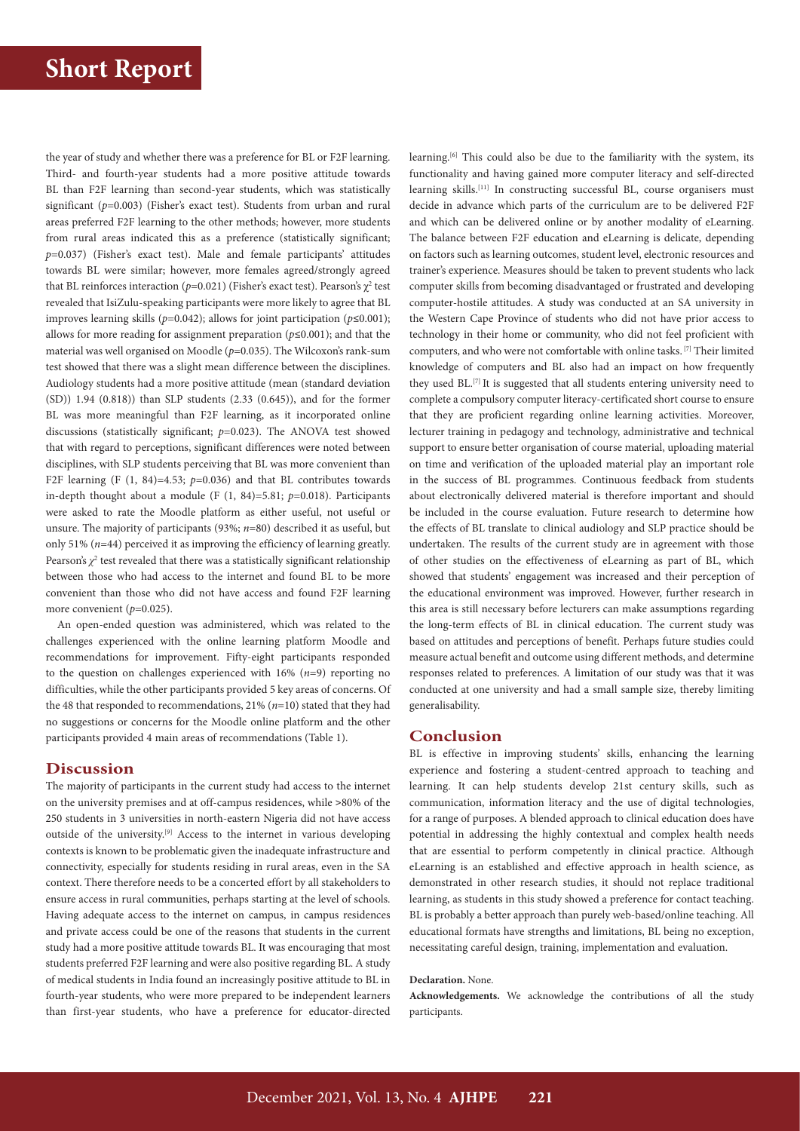the year of study and whether there was a preference for BL or F2F learning. Third- and fourth-year students had a more positive attitude towards BL than F2F learning than second-year students, which was statistically significant ( $p=0.003$ ) (Fisher's exact test). Students from urban and rural areas preferred F2F learning to the other methods; however, more students from rural areas indicated this as a preference (statistically significant; *p*=0.037) (Fisher's exact test). Male and female participants' attitudes towards BL were similar; however, more females agreed/strongly agreed that BL reinforces interaction ( $p=0.021$ ) (Fisher's exact test). Pearson's  $\chi^2$  test revealed that IsiZulu-speaking participants were more likely to agree that BL improves learning skills ( $p=0.042$ ); allows for joint participation ( $p \le 0.001$ ); allows for more reading for assignment preparation (*p*≤0.001); and that the material was well organised on Moodle ( $p=0.035$ ). The Wilcoxon's rank-sum test showed that there was a slight mean difference between the disciplines. Audiology students had a more positive attitude (mean (standard deviation (SD)) 1.94 (0.818)) than SLP students (2.33 (0.645)), and for the former BL was more meaningful than F2F learning, as it incorporated online discussions (statistically significant; *p*=0.023). The ANOVA test showed that with regard to perceptions, significant differences were noted between disciplines, with SLP students perceiving that BL was more convenient than F2F learning  $(F (1, 84)=4.53; p=0.036)$  and that BL contributes towards in-depth thought about a module (F (1, 84)=5.81; *p*=0.018). Participants were asked to rate the Moodle platform as either useful, not useful or unsure. The majority of participants (93%; *n*=80) described it as useful, but only 51% (*n*=44) perceived it as improving the efficiency of learning greatly. Pearson's  $\chi^2$  test revealed that there was a statistically significant relationship between those who had access to the internet and found BL to be more convenient than those who did not have access and found F2F learning more convenient ( $p=0.025$ ).

An open-ended question was administered, which was related to the challenges experienced with the online learning platform Moodle and recommendations for improvement. Fifty-eight participants responded to the question on challenges experienced with 16% (*n*=9) reporting no difficulties, while the other participants provided 5 key areas of concerns. Of the 48 that responded to recommendations, 21% (*n*=10) stated that they had no suggestions or concerns for the Moodle online platform and the other participants provided 4 main areas of recommendations (Table 1).

### **Discussion**

The majority of participants in the current study had access to the internet on the university premises and at off-campus residences, while >80% of the 250 students in 3 universities in north-eastern Nigeria did not have access outside of the university.<sup>[9]</sup> Access to the internet in various developing contexts is known to be problematic given the inadequate infrastructure and connectivity, especially for students residing in rural areas, even in the SA context. There therefore needs to be a concerted effort by all stakeholders to ensure access in rural communities, perhaps starting at the level of schools. Having adequate access to the internet on campus, in campus residences and private access could be one of the reasons that students in the current study had a more positive attitude towards BL. It was encouraging that most students preferred F2F learning and were also positive regarding BL. A study of medical students in India found an increasingly positive attitude to BL in fourth-year students, who were more prepared to be independent learners than first-year students, who have a preference for educator-directed

learning.[6] This could also be due to the familiarity with the system, its functionality and having gained more computer literacy and self-directed learning skills.<sup>[11]</sup> In constructing successful BL, course organisers must decide in advance which parts of the curriculum are to be delivered F2F and which can be delivered online or by another modality of eLearning. The balance between F2F education and eLearning is delicate, depending on factors such as learning outcomes, student level, electronic resources and trainer's experience. Measures should be taken to prevent students who lack computer skills from becoming disadvantaged or frustrated and developing computer-hostile attitudes. A study was conducted at an SA university in the Western Cape Province of students who did not have prior access to technology in their home or community, who did not feel proficient with computers, and who were not comfortable with online tasks. [7] Their limited knowledge of computers and BL also had an impact on how frequently they used BL.<sup>[7]</sup> It is suggested that all students entering university need to complete a compulsory computer literacy-certificated short course to ensure that they are proficient regarding online learning activities. Moreover, lecturer training in pedagogy and technology, administrative and technical support to ensure better organisation of course material, uploading material on time and verification of the uploaded material play an important role in the success of BL programmes. Continuous feedback from students about electronically delivered material is therefore important and should be included in the course evaluation. Future research to determine how the effects of BL translate to clinical audiology and SLP practice should be undertaken. The results of the current study are in agreement with those of other studies on the effectiveness of eLearning as part of BL, which showed that students' engagement was increased and their perception of the educational environment was improved. However, further research in this area is still necessary before lecturers can make assumptions regarding the long-term effects of BL in clinical education. The current study was based on attitudes and perceptions of benefit. Perhaps future studies could measure actual benefit and outcome using different methods, and determine responses related to preferences. A limitation of our study was that it was conducted at one university and had a small sample size, thereby limiting generalisability.

## **Conclusion**

BL is effective in improving students' skills, enhancing the learning experience and fostering a student-centred approach to teaching and learning. It can help students develop 21st century skills, such as communication, information literacy and the use of digital technologies, for a range of purposes. A blended approach to clinical education does have potential in addressing the highly contextual and complex health needs that are essential to perform competently in clinical practice. Although eLearning is an established and effective approach in health science, as demonstrated in other research studies, it should not replace traditional learning, as students in this study showed a preference for contact teaching. BL is probably a better approach than purely web-based/online teaching. All educational formats have strengths and limitations, BL being no exception, necessitating careful design, training, implementation and evaluation.

#### **Declaration.** None.

**Acknowledgements.** We acknowledge the contributions of all the study participants.